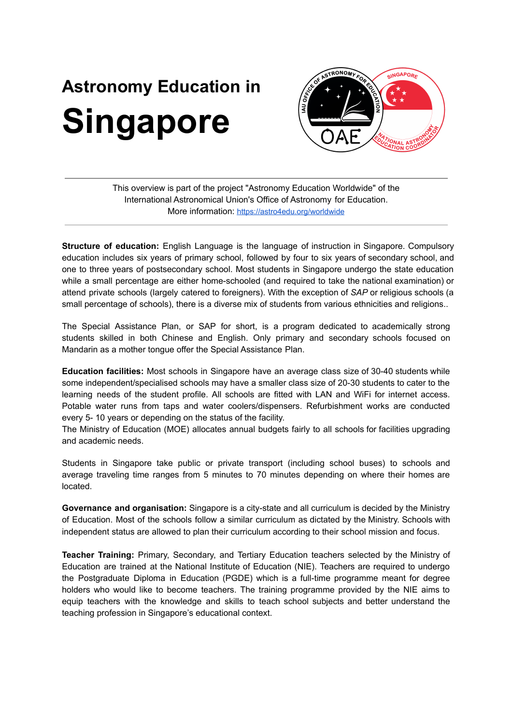## **Astronomy Education in Singapore**



This overview is part of the project "Astronomy Education Worldwide" of the International Astronomical Union's Office of Astronomy for Education. More information: <https://astro4edu.org/worldwide>

**Structure of education:** English Language is the language of instruction in Singapore. Compulsory education includes six years of primary school, followed by four to six years of secondary school, and one to three years of postsecondary school. Most students in Singapore undergo the state education while a small percentage are either home-schooled (and required to take the national examination) or attend private schools (largely catered to foreigners). With the exception of *SAP* or religious schools (a small percentage of schools), there is a diverse mix of students from various ethnicities and religions..

The Special Assistance Plan, or SAP for short, is a program dedicated to academically strong students skilled in both Chinese and English. Only primary and secondary schools focused on Mandarin as a mother tongue offer the Special Assistance Plan.

**Education facilities:** Most schools in Singapore have an average class size of 30-40 students while some independent/specialised schools may have a smaller class size of 20-30 students to cater to the learning needs of the student profile. All schools are fitted with LAN and WiFi for internet access. Potable water runs from taps and water coolers/dispensers. Refurbishment works are conducted every 5- 10 years or depending on the status of the facility.

The Ministry of Education (MOE) allocates annual budgets fairly to all schools for facilities upgrading and academic needs.

Students in Singapore take public or private transport (including school buses) to schools and average traveling time ranges from 5 minutes to 70 minutes depending on where their homes are located.

**Governance and organisation:** Singapore is a city-state and all curriculum is decided by the Ministry of Education. Most of the schools follow a similar curriculum as dictated by the Ministry. Schools with independent status are allowed to plan their curriculum according to their school mission and focus.

**Teacher Training:** Primary, Secondary, and Tertiary Education teachers selected by the Ministry of Education are trained at the National Institute of Education (NIE). Teachers are required to undergo the Postgraduate Diploma in Education (PGDE) which is a full-time programme meant for degree holders who would like to become teachers. The training programme provided by the NIE aims to equip teachers with the knowledge and skills to teach school subjects and better understand the teaching profession in Singapore's educational context.